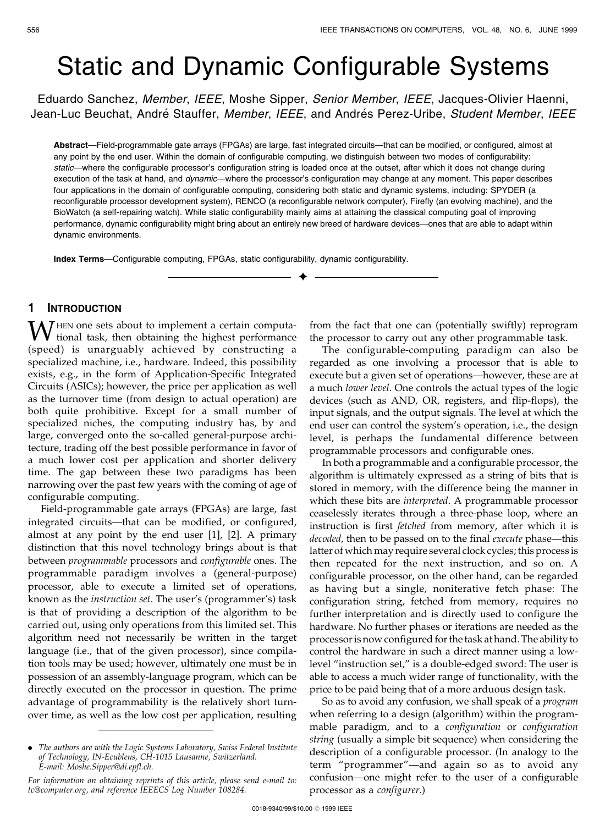# Static and Dynamic Configurable Systems

Eduardo Sanchez, Member, IEEE, Moshe Sipper, Senior Member, IEEE, Jacques-Olivier Haenni, Jean-Luc Beuchat, André Stauffer, Member, IEEE, and Andrés Perez-Uribe, Student Member, IEEE

Abstract—Field-programmable gate arrays (FPGAs) are large, fast integrated circuits—that can be modified, or configured, almost at any point by the end user. Within the domain of configurable computing, we distinguish between two modes of configurability: static—where the configurable processor's configuration string is loaded once at the outset, after which it does not change during execution of the task at hand, and dynamic-where the processor's configuration may change at any moment. This paper describes four applications in the domain of configurable computing, considering both static and dynamic systems, including: SPYDER (a reconfigurable processor development system), RENCO (a reconfigurable network computer), Firefly (an evolving machine), and the BioWatch (a self-repairing watch). While static configurability mainly aims at attaining the classical computing goal of improving performance, dynamic configurability might bring about an entirely new breed of hardware devices—ones that are able to adapt within dynamic environments.

æ

Index Terms-Configurable computing, FPGAs, static configurability, dynamic configurability.

## 1 INTRODUCTION

 $\mathbf{W}$ <sup>HEN</sup> one sets about to implement a certain computational task, then obtaining the highest performance (speed) is unarguably achieved by constructing a specialized machine, i.e., hardware. Indeed, this possibility exists, e.g., in the form of Application-Specific Integrated Circuits (ASICs); however, the price per application as well as the turnover time (from design to actual operation) are both quite prohibitive. Except for a small number of specialized niches, the computing industry has, by and large, converged onto the so-called general-purpose architecture, trading off the best possible performance in favor of a much lower cost per application and shorter delivery time. The gap between these two paradigms has been narrowing over the past few years with the coming of age of configurable computing.

Field-programmable gate arrays (FPGAs) are large, fast integrated circuits—that can be modified, or configured, almost at any point by the end user [1], [2]. A primary distinction that this novel technology brings about is that between programmable processors and configurable ones. The programmable paradigm involves a (general-purpose) processor, able to execute a limited set of operations, known as the instruction set. The user's (programmer's) task is that of providing a description of the algorithm to be carried out, using only operations from this limited set. This algorithm need not necessarily be written in the target language (i.e., that of the given processor), since compilation tools may be used; however, ultimately one must be in possession of an assembly-language program, which can be directly executed on the processor in question. The prime advantage of programmability is the relatively short turnover time, as well as the low cost per application, resulting from the fact that one can (potentially swiftly) reprogram the processor to carry out any other programmable task.

The configurable-computing paradigm can also be regarded as one involving a processor that is able to execute but a given set of operations—however, these are at a much lower level. One controls the actual types of the logic devices (such as AND, OR, registers, and flip-flops), the input signals, and the output signals. The level at which the end user can control the system's operation, i.e., the design level, is perhaps the fundamental difference between programmable processors and configurable ones.

In both a programmable and a configurable processor, the algorithm is ultimately expressed as a string of bits that is stored in memory, with the difference being the manner in which these bits are interpreted. A programmable processor ceaselessly iterates through a three-phase loop, where an instruction is first fetched from memory, after which it is decoded, then to be passed on to the final execute phase—this latter of which may require several clock cycles; this process is then repeated for the next instruction, and so on. A configurable processor, on the other hand, can be regarded as having but a single, noniterative fetch phase: The configuration string, fetched from memory, requires no further interpretation and is directly used to configure the hardware. No further phases or iterations are needed as the processor is now configured for the task at hand. The ability to control the hardware in such a direct manner using a lowlevel "instruction set," is a double-edged sword: The user is able to access a much wider range of functionality, with the price to be paid being that of a more arduous design task.

So as to avoid any confusion, we shall speak of a program when referring to a design (algorithm) within the programmable paradigm, and to a configuration or configuration string (usually a simple bit sequence) when considering the description of a configurable processor. (In analogy to the term "programmer"—and again so as to avoid any confusion—one might refer to the user of a configurable processor as a configurer.)

<sup>.</sup> The authors are with the Logic Systems Laboratory, Swiss Federal Institute of Technology, IN-Ecublens, CH-1015 Lausanne, Switzerland. E-mail: Moshe.Sipper@di.epfl.ch.

For information on obtaining reprints of this article, please send e-mail to: tc@computer.org, and reference IEEECS Log Number 108284.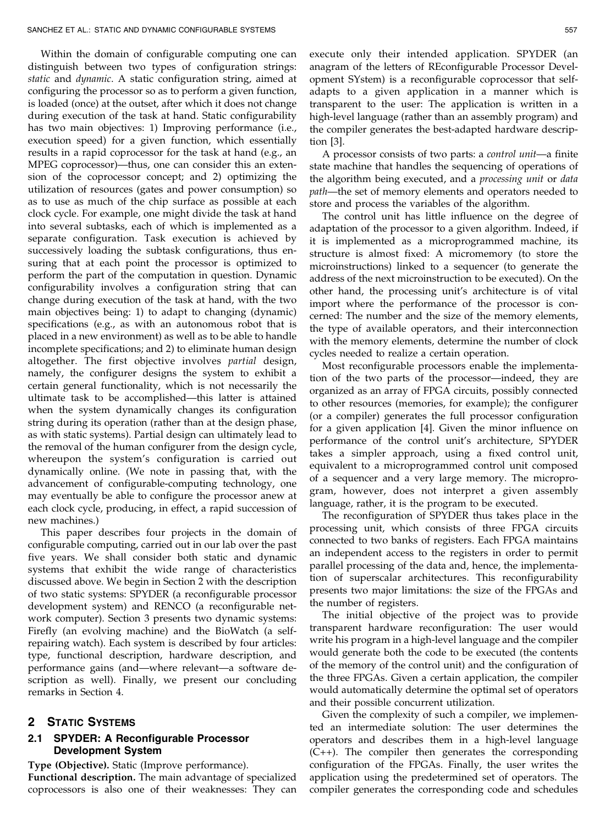Within the domain of configurable computing one can distinguish between two types of configuration strings: static and dynamic. A static configuration string, aimed at configuring the processor so as to perform a given function, is loaded (once) at the outset, after which it does not change during execution of the task at hand. Static configurability has two main objectives: 1) Improving performance (i.e., execution speed) for a given function, which essentially results in a rapid coprocessor for the task at hand (e.g., an MPEG coprocessor)—thus, one can consider this an extension of the coprocessor concept; and 2) optimizing the utilization of resources (gates and power consumption) so as to use as much of the chip surface as possible at each clock cycle. For example, one might divide the task at hand into several subtasks, each of which is implemented as a separate configuration. Task execution is achieved by successively loading the subtask configurations, thus ensuring that at each point the processor is optimized to perform the part of the computation in question. Dynamic configurability involves a configuration string that can change during execution of the task at hand, with the two main objectives being: 1) to adapt to changing (dynamic) specifications (e.g., as with an autonomous robot that is placed in a new environment) as well as to be able to handle incomplete specifications; and 2) to eliminate human design altogether. The first objective involves partial design, namely, the configurer designs the system to exhibit a certain general functionality, which is not necessarily the ultimate task to be accomplished—this latter is attained when the system dynamically changes its configuration string during its operation (rather than at the design phase, as with static systems). Partial design can ultimately lead to the removal of the human configurer from the design cycle, whereupon the system's configuration is carried out dynamically online. (We note in passing that, with the advancement of configurable-computing technology, one may eventually be able to configure the processor anew at each clock cycle, producing, in effect, a rapid succession of new machines.)

This paper describes four projects in the domain of configurable computing, carried out in our lab over the past five years. We shall consider both static and dynamic systems that exhibit the wide range of characteristics discussed above. We begin in Section 2 with the description of two static systems: SPYDER (a reconfigurable processor development system) and RENCO (a reconfigurable network computer). Section 3 presents two dynamic systems: Firefly (an evolving machine) and the BioWatch (a selfrepairing watch). Each system is described by four articles: type, functional description, hardware description, and performance gains (and—where relevant—a software description as well). Finally, we present our concluding remarks in Section 4.

#### 2 STATIC SYSTEMS

## 2.1 SPYDER: A Reconfigurable Processor Development System

Type (Objective). Static (Improve performance). Functional description. The main advantage of specialized coprocessors is also one of their weaknesses: They can

A processor consists of two parts: a *control unit*—a finite state machine that handles the sequencing of operations of the algorithm being executed, and a processing unit or data path-the set of memory elements and operators needed to store and process the variables of the algorithm.

The control unit has little influence on the degree of adaptation of the processor to a given algorithm. Indeed, if it is implemented as a microprogrammed machine, its structure is almost fixed: A micromemory (to store the microinstructions) linked to a sequencer (to generate the address of the next microinstruction to be executed). On the other hand, the processing unit's architecture is of vital import where the performance of the processor is concerned: The number and the size of the memory elements, the type of available operators, and their interconnection with the memory elements, determine the number of clock cycles needed to realize a certain operation.

Most reconfigurable processors enable the implementation of the two parts of the processor—indeed, they are organized as an array of FPGA circuits, possibly connected to other resources (memories, for example); the configurer (or a compiler) generates the full processor configuration for a given application [4]. Given the minor influence on performance of the control unit's architecture, SPYDER takes a simpler approach, using a fixed control unit, equivalent to a microprogrammed control unit composed of a sequencer and a very large memory. The microprogram, however, does not interpret a given assembly language, rather, it is the program to be executed.

The reconfiguration of SPYDER thus takes place in the processing unit, which consists of three FPGA circuits connected to two banks of registers. Each FPGA maintains an independent access to the registers in order to permit parallel processing of the data and, hence, the implementation of superscalar architectures. This reconfigurability presents two major limitations: the size of the FPGAs and the number of registers.

The initial objective of the project was to provide transparent hardware reconfiguration: The user would write his program in a high-level language and the compiler would generate both the code to be executed (the contents of the memory of the control unit) and the configuration of the three FPGAs. Given a certain application, the compiler would automatically determine the optimal set of operators and their possible concurrent utilization.

Given the complexity of such a compiler, we implemented an intermediate solution: The user determines the operators and describes them in a high-level language (C++). The compiler then generates the corresponding configuration of the FPGAs. Finally, the user writes the application using the predetermined set of operators. The compiler generates the corresponding code and schedules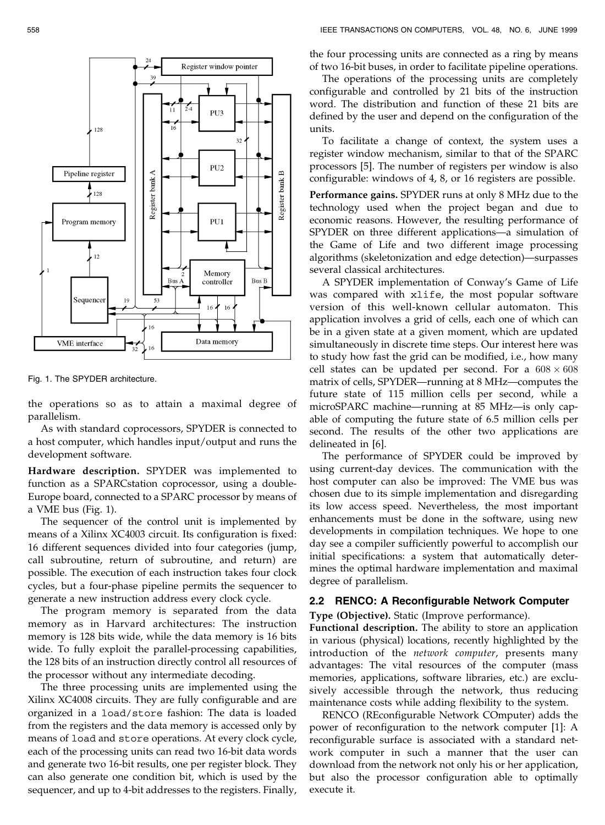Register window pointer  $39$  $11$ PU3  $16$ 128 ما 32 PU<sub>2</sub> Pipeline register Register bank B Register bank A <sup>128</sup> PU1 Program memory L 12 Memory  $_{\rm Bus}$  B Bus A controller Sequencei  $19$  $53$  $16<sup>2</sup>$  $16$  $16$ VME interface Data memory

Fig. 1. The SPYDER architecture.

the operations so as to attain a maximal degree of parallelism.

As with standard coprocessors, SPYDER is connected to a host computer, which handles input/output and runs the development software.

Hardware description. SPYDER was implemented to function as a SPARCstation coprocessor, using a double-Europe board, connected to a SPARC processor by means of a VME bus (Fig. 1).

The sequencer of the control unit is implemented by means of a Xilinx XC4003 circuit. Its configuration is fixed: 16 different sequences divided into four categories (jump, call subroutine, return of subroutine, and return) are possible. The execution of each instruction takes four clock cycles, but a four-phase pipeline permits the sequencer to generate a new instruction address every clock cycle.

The program memory is separated from the data memory as in Harvard architectures: The instruction memory is 128 bits wide, while the data memory is 16 bits wide. To fully exploit the parallel-processing capabilities, the 128 bits of an instruction directly control all resources of the processor without any intermediate decoding.

The three processing units are implemented using the Xilinx XC4008 circuits. They are fully configurable and are organized in a load/store fashion: The data is loaded from the registers and the data memory is accessed only by means of load and store operations. At every clock cycle, each of the processing units can read two 16-bit data words and generate two 16-bit results, one per register block. They can also generate one condition bit, which is used by the sequencer, and up to 4-bit addresses to the registers. Finally,

the four processing units are connected as a ring by means of two 16-bit buses, in order to facilitate pipeline operations.

The operations of the processing units are completely configurable and controlled by 21 bits of the instruction word. The distribution and function of these 21 bits are defined by the user and depend on the configuration of the units.

To facilitate a change of context, the system uses a register window mechanism, similar to that of the SPARC processors [5]. The number of registers per window is also configurable: windows of 4, 8, or 16 registers are possible.

Performance gains. SPYDER runs at only 8 MHz due to the technology used when the project began and due to economic reasons. However, the resulting performance of SPYDER on three different applications—a simulation of the Game of Life and two different image processing algorithms (skeletonization and edge detection)—surpasses several classical architectures.

A SPYDER implementation of Conway's Game of Life was compared with xlife, the most popular software version of this well-known cellular automaton. This application involves a grid of cells, each one of which can be in a given state at a given moment, which are updated simultaneously in discrete time steps. Our interest here was to study how fast the grid can be modified, i.e., how many cell states can be updated per second. For a  $608 \times 608$ matrix of cells, SPYDER—running at 8 MHz—computes the future state of 115 million cells per second, while a microSPARC machine—running at 85 MHz—is only capable of computing the future state of 6.5 million cells per second. The results of the other two applications are delineated in [6].

The performance of SPYDER could be improved by using current-day devices. The communication with the host computer can also be improved: The VME bus was chosen due to its simple implementation and disregarding its low access speed. Nevertheless, the most important enhancements must be done in the software, using new developments in compilation techniques. We hope to one day see a compiler sufficiently powerful to accomplish our initial specifications: a system that automatically determines the optimal hardware implementation and maximal degree of parallelism.

## 2.2 RENCO: A Reconfigurable Network Computer

Type (Objective). Static (Improve performance).

Functional description. The ability to store an application in various (physical) locations, recently highlighted by the introduction of the network computer, presents many advantages: The vital resources of the computer (mass memories, applications, software libraries, etc.) are exclusively accessible through the network, thus reducing maintenance costs while adding flexibility to the system.

RENCO (REconfigurable Network COmputer) adds the power of reconfiguration to the network computer [1]: A reconfigurable surface is associated with a standard network computer in such a manner that the user can download from the network not only his or her application, but also the processor configuration able to optimally execute it.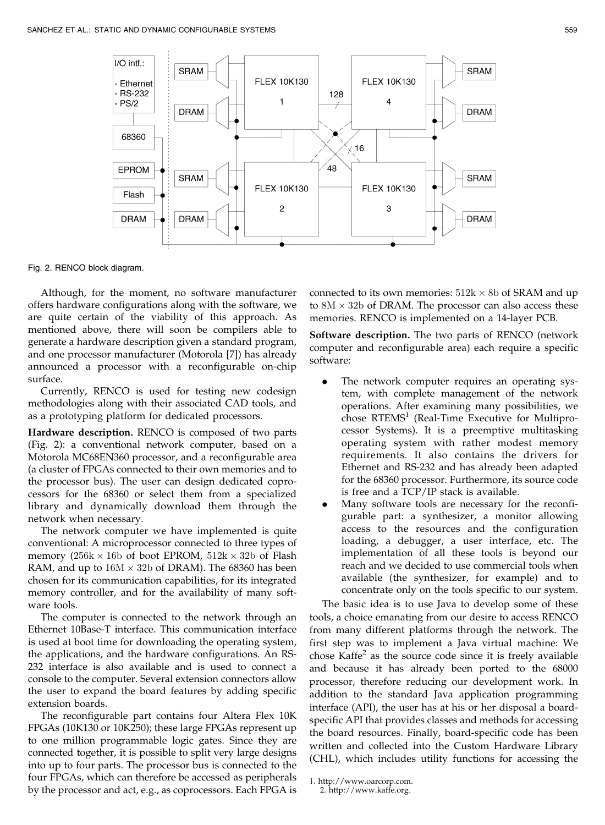

Fig. 2. RENCO block diagram.

Although, for the moment, no software manufacturer offers hardware configurations along with the software, we are quite certain of the viability of this approach. As mentioned above, there will soon be compilers able to generate a hardware description given a standard program, and one processor manufacturer (Motorola [7]) has already announced a processor with a reconfigurable on-chip surface.

Currently, RENCO is used for testing new codesign methodologies along with their associated CAD tools, and as a prototyping platform for dedicated processors.

Hardware description. RENCO is composed of two parts (Fig. 2): a conventional network computer, based on a Motorola MC68EN360 processor, and a reconfigurable area (a cluster of FPGAs connected to their own memories and to the processor bus). The user can design dedicated coprocessors for the 68360 or select them from a specialized library and dynamically download them through the network when necessary.

The network computer we have implemented is quite conventional: A microprocessor connected to three types of memory ( $256k \times 16b$  of boot EPROM,  $512k \times 32b$  of Flash RAM, and up to  $16M \times 32b$  of DRAM). The 68360 has been chosen for its communication capabilities, for its integrated memory controller, and for the availability of many software tools.

The computer is connected to the network through an Ethernet 10Base-T interface. This communication interface is used at boot time for downloading the operating system, the applications, and the hardware configurations. An RS-232 interface is also available and is used to connect a console to the computer. Several extension connectors allow the user to expand the board features by adding specific extension boards.

The reconfigurable part contains four Altera Flex 10K FPGAs (10K130 or 10K250); these large FPGAs represent up to one million programmable logic gates. Since they are connected together, it is possible to split very large designs into up to four parts. The processor bus is connected to the four FPGAs, which can therefore be accessed as peripherals by the processor and act, e.g., as coprocessors. Each FPGA is

connected to its own memories:  $512k \times 8b$  of SRAM and up to  $8M \times 32b$  of DRAM. The processor can also access these memories. RENCO is implemented on a 14-layer PCB.

Software description. The two parts of RENCO (network computer and reconfigurable area) each require a specific software:

- The network computer requires an operating system, with complete management of the network operations. After examining many possibilities, we chose  $RTEMS<sup>1</sup>$  (Real-Time Executive for Multiprocessor Systems). It is a preemptive multitasking operating system with rather modest memory requirements. It also contains the drivers for Ethernet and RS-232 and has already been adapted for the 68360 processor. Furthermore, its source code is free and a TCP/IP stack is available.
- . Many software tools are necessary for the reconfigurable part: a synthesizer, a monitor allowing access to the resources and the configuration loading, a debugger, a user interface, etc. The implementation of all these tools is beyond our reach and we decided to use commercial tools when available (the synthesizer, for example) and to concentrate only on the tools specific to our system.

The basic idea is to use Java to develop some of these tools, a choice emanating from our desire to access RENCO from many different platforms through the network. The first step was to implement a Java virtual machine: We chose Kaffe<sup>2</sup> as the source code since it is freely available and because it has already been ported to the 68000 processor, therefore reducing our development work. In addition to the standard Java application programming interface (API), the user has at his or her disposal a boardspecific API that provides classes and methods for accessing the board resources. Finally, board-specific code has been written and collected into the Custom Hardware Library (CHL), which includes utility functions for accessing the

1. http://www.oarcorp.com.

<sup>2.</sup> http://www.kaffe.org.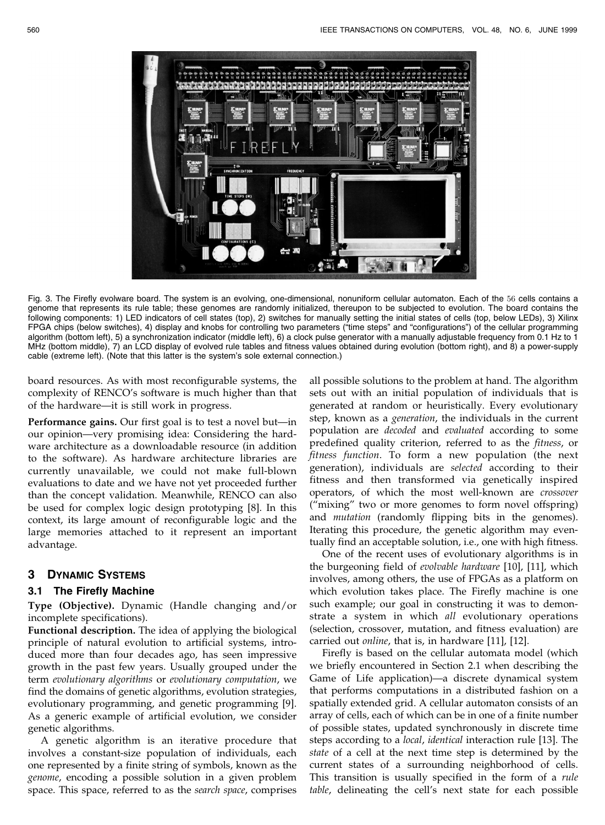

Fig. 3. The Firefly evolware board. The system is an evolving, one-dimensional, nonuniform cellular automaton. Each of the 56 cells contains a genome that represents its rule table; these genomes are randomly initialized, thereupon to be subjected to evolution. The board contains the following components: 1) LED indicators of cell states (top), 2) switches for manually setting the initial states of cells (top, below LEDs), 3) Xilinx FPGA chips (below switches), 4) display and knobs for controlling two parameters ("time steps" and "configurations") of the cellular programming algorithm (bottom left), 5) a synchronization indicator (middle left), 6) a clock pulse generator with a manually adjustable frequency from 0.1 Hz to 1 MHz (bottom middle), 7) an LCD display of evolved rule tables and fitness values obtained during evolution (bottom right), and 8) a power-supply cable (extreme left). (Note that this latter is the system's sole external connection.)

board resources. As with most reconfigurable systems, the complexity of RENCO's software is much higher than that of the hardware—it is still work in progress.

Performance gains. Our first goal is to test a novel but-in our opinion—very promising idea: Considering the hardware architecture as a downloadable resource (in addition to the software). As hardware architecture libraries are currently unavailable, we could not make full-blown evaluations to date and we have not yet proceeded further than the concept validation. Meanwhile, RENCO can also be used for complex logic design prototyping [8]. In this context, its large amount of reconfigurable logic and the large memories attached to it represent an important advantage.

#### 3 DYNAMIC SYSTEMS

## 3.1 The Firefly Machine

Type (Objective). Dynamic (Handle changing and/or incomplete specifications).

Functional description. The idea of applying the biological principle of natural evolution to artificial systems, introduced more than four decades ago, has seen impressive growth in the past few years. Usually grouped under the term evolutionary algorithms or evolutionary computation, we find the domains of genetic algorithms, evolution strategies, evolutionary programming, and genetic programming [9]. As a generic example of artificial evolution, we consider genetic algorithms.

A genetic algorithm is an iterative procedure that involves a constant-size population of individuals, each one represented by a finite string of symbols, known as the genome, encoding a possible solution in a given problem space. This space, referred to as the search space, comprises

all possible solutions to the problem at hand. The algorithm sets out with an initial population of individuals that is generated at random or heuristically. Every evolutionary step, known as a *generation*, the individuals in the current population are decoded and evaluated according to some predefined quality criterion, referred to as the fitness, or fitness function. To form a new population (the next generation), individuals are selected according to their fitness and then transformed via genetically inspired operators, of which the most well-known are crossover ("mixing" two or more genomes to form novel offspring) and mutation (randomly flipping bits in the genomes). Iterating this procedure, the genetic algorithm may eventually find an acceptable solution, i.e., one with high fitness.

One of the recent uses of evolutionary algorithms is in the burgeoning field of evolvable hardware [10], [11], which involves, among others, the use of FPGAs as a platform on which evolution takes place. The Firefly machine is one such example; our goal in constructing it was to demonstrate a system in which all evolutionary operations (selection, crossover, mutation, and fitness evaluation) are carried out online, that is, in hardware [11], [12].

Firefly is based on the cellular automata model (which we briefly encountered in Section 2.1 when describing the Game of Life application)—a discrete dynamical system that performs computations in a distributed fashion on a spatially extended grid. A cellular automaton consists of an array of cells, each of which can be in one of a finite number of possible states, updated synchronously in discrete time steps according to a local, identical interaction rule [13]. The state of a cell at the next time step is determined by the current states of a surrounding neighborhood of cells. This transition is usually specified in the form of a *rule* table, delineating the cell's next state for each possible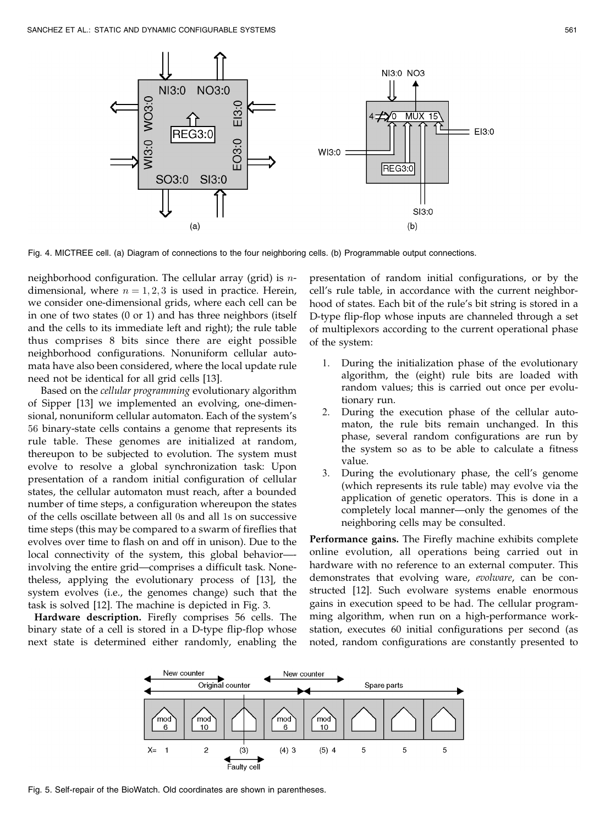

Fig. 4. MICTREE cell. (a) Diagram of connections to the four neighboring cells. (b) Programmable output connections.

neighborhood configuration. The cellular array (grid) is ndimensional, where  $n = 1, 2, 3$  is used in practice. Herein, we consider one-dimensional grids, where each cell can be in one of two states (0 or 1) and has three neighbors (itself and the cells to its immediate left and right); the rule table thus comprises 8 bits since there are eight possible neighborhood configurations. Nonuniform cellular automata have also been considered, where the local update rule need not be identical for all grid cells [13].

Based on the cellular programming evolutionary algorithm of Sipper [13] we implemented an evolving, one-dimensional, nonuniform cellular automaton. Each of the system's 56 binary-state cells contains a genome that represents its rule table. These genomes are initialized at random, thereupon to be subjected to evolution. The system must evolve to resolve a global synchronization task: Upon presentation of a random initial configuration of cellular states, the cellular automaton must reach, after a bounded number of time steps, a configuration whereupon the states of the cells oscillate between all 0s and all 1s on successive time steps (this may be compared to a swarm of fireflies that evolves over time to flash on and off in unison). Due to the local connectivity of the system, this global behavior—involving the entire grid-comprises a difficult task. Nonetheless, applying the evolutionary process of [13], the system evolves (i.e., the genomes change) such that the task is solved [12]. The machine is depicted in Fig. 3.

Hardware description. Firefly comprises 56 cells. The binary state of a cell is stored in a D-type flip-flop whose next state is determined either randomly, enabling the

presentation of random initial configurations, or by the cell's rule table, in accordance with the current neighborhood of states. Each bit of the rule's bit string is stored in a D-type flip-flop whose inputs are channeled through a set of multiplexors according to the current operational phase of the system:

- 1. During the initialization phase of the evolutionary algorithm, the (eight) rule bits are loaded with random values; this is carried out once per evolutionary run.
- 2. During the execution phase of the cellular automaton, the rule bits remain unchanged. In this phase, several random configurations are run by the system so as to be able to calculate a fitness value.
- 3. During the evolutionary phase, the cell's genome (which represents its rule table) may evolve via the application of genetic operators. This is done in a completely local manner—only the genomes of the neighboring cells may be consulted.

Performance gains. The Firefly machine exhibits complete online evolution, all operations being carried out in hardware with no reference to an external computer. This demonstrates that evolving ware, evolware, can be constructed [12]. Such evolware systems enable enormous gains in execution speed to be had. The cellular programming algorithm, when run on a high-performance workstation, executes 60 initial configurations per second (as noted, random configurations are constantly presented to

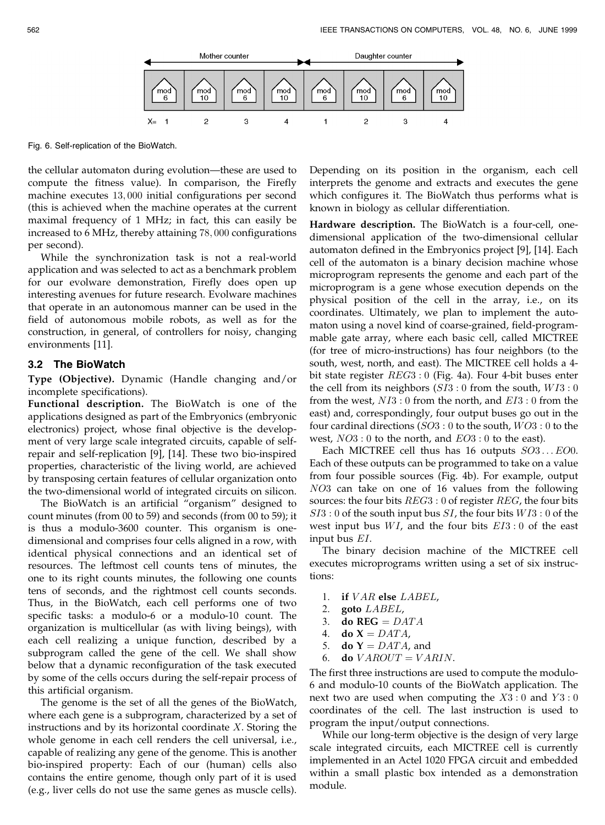

Fig. 6. Self-replication of the BioWatch.

the cellular automaton during evolution—these are used to compute the fitness value). In comparison, the Firefly machine executes 13; 000 initial configurations per second (this is achieved when the machine operates at the current maximal frequency of 1 MHz; in fact, this can easily be increased to 6 MHz, thereby attaining 78; 000 configurations per second).

While the synchronization task is not a real-world application and was selected to act as a benchmark problem for our evolware demonstration, Firefly does open up interesting avenues for future research. Evolware machines that operate in an autonomous manner can be used in the field of autonomous mobile robots, as well as for the construction, in general, of controllers for noisy, changing environments [11].

#### 3.2 The BioWatch

Type (Objective). Dynamic (Handle changing and/or incomplete specifications).

Functional description. The BioWatch is one of the applications designed as part of the Embryonics (embryonic electronics) project, whose final objective is the development of very large scale integrated circuits, capable of selfrepair and self-replication [9], [14]. These two bio-inspired properties, characteristic of the living world, are achieved by transposing certain features of cellular organization onto the two-dimensional world of integrated circuits on silicon.

The BioWatch is an artificial "organism" designed to count minutes (from 00 to 59) and seconds (from 00 to 59); it is thus a modulo-3600 counter. This organism is onedimensional and comprises four cells aligned in a row, with identical physical connections and an identical set of resources. The leftmost cell counts tens of minutes, the one to its right counts minutes, the following one counts tens of seconds, and the rightmost cell counts seconds. Thus, in the BioWatch, each cell performs one of two specific tasks: a modulo-6 or a modulo-10 count. The organization is multicellular (as with living beings), with each cell realizing a unique function, described by a subprogram called the gene of the cell. We shall show below that a dynamic reconfiguration of the task executed by some of the cells occurs during the self-repair process of this artificial organism.

The genome is the set of all the genes of the BioWatch, where each gene is a subprogram, characterized by a set of instructions and by its horizontal coordinate X. Storing the whole genome in each cell renders the cell universal, i.e., capable of realizing any gene of the genome. This is another bio-inspired property: Each of our (human) cells also contains the entire genome, though only part of it is used (e.g., liver cells do not use the same genes as muscle cells). Depending on its position in the organism, each cell interprets the genome and extracts and executes the gene which configures it. The BioWatch thus performs what is known in biology as cellular differentiation.

Hardware description. The BioWatch is a four-cell, onedimensional application of the two-dimensional cellular automaton defined in the Embryonics project [9], [14]. Each cell of the automaton is a binary decision machine whose microprogram represents the genome and each part of the microprogram is a gene whose execution depends on the physical position of the cell in the array, i.e., on its coordinates. Ultimately, we plan to implement the automaton using a novel kind of coarse-grained, field-programmable gate array, where each basic cell, called MICTREE (for tree of micro-instructions) has four neighbors (to the south, west, north, and east). The MICTREE cell holds a 4 bit state register REG3:0 (Fig. 4a). Four 4-bit buses enter the cell from its neighbors  $(SI3:0$  from the south,  $WI3:0$ from the west,  $NI3:0$  from the north, and  $EI3:0$  from the east) and, correspondingly, four output buses go out in the four cardinal directions ( $SO3:0$  to the south,  $WO3:0$  to the west,  $NO3:0$  to the north, and  $EO3:0$  to the east).

Each MICTREE cell thus has 16 outputs  $SO3...EO0$ . Each of these outputs can be programmed to take on a value from four possible sources (Fig. 4b). For example, output NO3 can take on one of 16 values from the following sources: the four bits  $REG3:0$  of register  $REG$ , the four bits  $SI3:0$  of the south input bus  $SI$ , the four bits  $WI3:0$  of the west input bus  $WI$ , and the four bits  $EI3:0$  of the east input bus EI.

The binary decision machine of the MICTREE cell executes microprograms written using a set of six instructions:

- 1. if *VAR* else *LABEL*,
- 2. goto LABEL,
- 3. do REG =  $DATA$ <br>4. do  $X = DATA$ .
- 4. do  $X = DATA$ ,<br>5. do  $Y = DATA$ .
- 5. **do Y** = *DATA*, and<br>6 **do** *VAROUT* = *VA*
- $d\mathbf{o}$  VAROUT = VARIN.

The first three instructions are used to compute the modulo-6 and modulo-10 counts of the BioWatch application. The next two are used when computing the  $X3:0$  and  $Y3:0$ coordinates of the cell. The last instruction is used to program the input/output connections.

While our long-term objective is the design of very large scale integrated circuits, each MICTREE cell is currently implemented in an Actel 1020 FPGA circuit and embedded within a small plastic box intended as a demonstration module.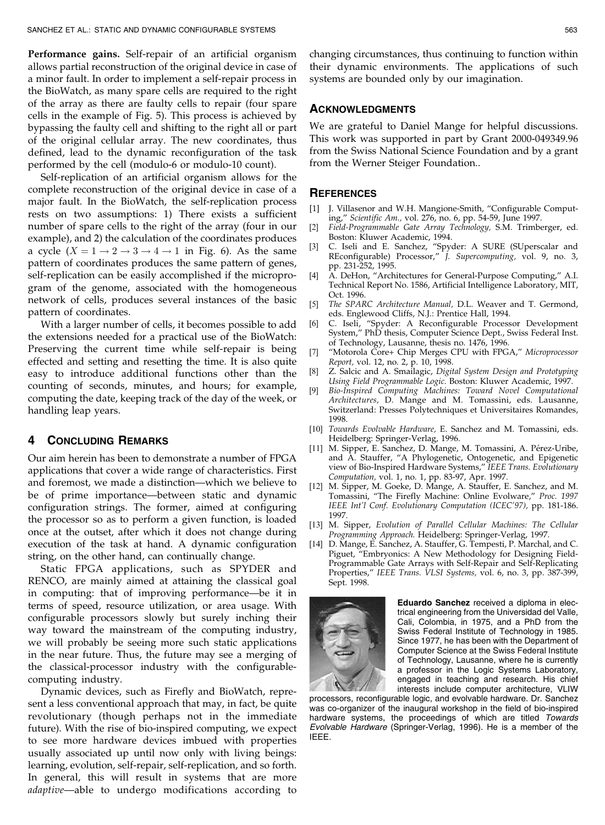Performance gains. Self-repair of an artificial organism allows partial reconstruction of the original device in case of a minor fault. In order to implement a self-repair process in the BioWatch, as many spare cells are required to the right of the array as there are faulty cells to repair (four spare cells in the example of Fig. 5). This process is achieved by bypassing the faulty cell and shifting to the right all or part of the original cellular array. The new coordinates, thus defined, lead to the dynamic reconfiguration of the task performed by the cell (modulo-6 or modulo-10 count).

Self-replication of an artificial organism allows for the complete reconstruction of the original device in case of a major fault. In the BioWatch, the self-replication process rests on two assumptions: 1) There exists a sufficient number of spare cells to the right of the array (four in our example), and 2) the calculation of the coordinates produces a cycle  $(X = 1 \rightarrow 2 \rightarrow 3 \rightarrow 4 \rightarrow 1$  in Fig. 6). As the same pattern of coordinates produces the same pattern of genes, self-replication can be easily accomplished if the microprogram of the genome, associated with the homogeneous network of cells, produces several instances of the basic pattern of coordinates.

With a larger number of cells, it becomes possible to add the extensions needed for a practical use of the BioWatch: Preserving the current time while self-repair is being effected and setting and resetting the time. It is also quite easy to introduce additional functions other than the counting of seconds, minutes, and hours; for example, computing the date, keeping track of the day of the week, or handling leap years.

## 4 CONCLUDING REMARKS

Our aim herein has been to demonstrate a number of FPGA applications that cover a wide range of characteristics. First and foremost, we made a distinction—which we believe to be of prime importance—between static and dynamic configuration strings. The former, aimed at configuring the processor so as to perform a given function, is loaded once at the outset, after which it does not change during execution of the task at hand. A dynamic configuration string, on the other hand, can continually change.

Static FPGA applications, such as SPYDER and RENCO, are mainly aimed at attaining the classical goal in computing: that of improving performance—be it in terms of speed, resource utilization, or area usage. With configurable processors slowly but surely inching their way toward the mainstream of the computing industry, we will probably be seeing more such static applications in the near future. Thus, the future may see a merging of the classical-processor industry with the configurablecomputing industry.

Dynamic devices, such as Firefly and BioWatch, represent a less conventional approach that may, in fact, be quite revolutionary (though perhaps not in the immediate future). With the rise of bio-inspired computing, we expect to see more hardware devices imbued with properties usually associated up until now only with living beings: learning, evolution, self-repair, self-replication, and so forth. In general, this will result in systems that are more adaptive-able to undergo modifications according to changing circumstances, thus continuing to function within their dynamic environments. The applications of such systems are bounded only by our imagination.

#### ACKNOWLEDGMENTS

We are grateful to Daniel Mange for helpful discussions. This work was supported in part by Grant 2000-049349.96 from the Swiss National Science Foundation and by a grant from the Werner Steiger Foundation..

#### **REFERENCES**

- [1] J. Villasenor and W.H. Mangione-Smith, "Configurable Computing," Scientific Am., vol. 276, no. 6, pp. 54-59, June 1997.
- [2] Field-Programmable Gate Array Technology, S.M. Trimberger, ed. Boston: Kluwer Academic, 1994.
- [3] C. Iseli and E. Sanchez, ªSpyder: A SURE (SUperscalar and REconfigurable) Processor," J. Supercomputing, vol. 9, no. 3, pp. 231-252, 1995.
- [4] A. DeHon, "Architectures for General-Purpose Computing," A.I. Technical Report No. 1586, Artificial Intelligence Laboratory, MIT, Oct. 1996.
- [5] The SPARC Architecture Manual, D.L. Weaver and T. Germond, eds. Englewood Cliffs, N.J.: Prentice Hall, 1994.
- [6] C. Iseli, ªSpyder: A Reconfigurable Processor Development System,º PhD thesis, Computer Science Dept., Swiss Federal Inst. of Technology, Lausanne, thesis no. 1476, 1996.
- [7] "Motorola Core+ Chip Merges CPU with FPGA," Microprocessor Report, vol. 12, no. 2, p. 10, 1998.
- [8] Z. Salcic and A. Smailagic, Digital System Design and Prototyping Using Field Programmable Logic. Boston: Kluwer Academic, 1997.
- [9] Bio-Inspired Computing Machines: Toward Novel Computational Architectures, D. Mange and M. Tomassini, eds. Lausanne, Switzerland: Presses Polytechniques et Universitaires Romandes, 1998.
- [10] Towards Evolvable Hardware, E. Sanchez and M. Tomassini, eds. Heidelberg: Springer-Verlag, 1996.
- [11] M. Sipper, E. Sanchez, D. Mange, M. Tomassini, A. Pérez-Uribe, and A. Stauffer, ªA Phylogenetic, Ontogenetic, and Epigenetic view of Bio-Inspired Hardware Systems," IEEE Trans. Evolutionary Computation, vol. 1, no. 1, pp. 83-97, Apr. 1997.
- [12] M. Sipper, M. Goeke, D. Mange, A. Stauffer, E. Sanchez, and M. Tomassini, "The Firefly Machine: Online Evolware," Proc. 1997 IEEE Int'l Conf. Evolutionary Computation (ICEC'97), pp. 181-186. 1997.
- [13] M. Sipper, Evolution of Parallel Cellular Machines: The Cellular Programming Approach. Heidelberg: Springer-Verlag, 1997.
- [14] D. Mange, E. Sanchez, A. Stauffer, G. Tempesti, P. Marchal, and C. Piguet, ªEmbryonics: A New Methodology for Designing Field-Programmable Gate Arrays with Self-Repair and Self-Replicating Properties," IEEE Trans. VLSI Systems, vol. 6, no. 3, pp. 387-399, Sept. 1998.



Eduardo Sanchez received a diploma in electrical engineering from the Universidad del Valle, Cali, Colombia, in 1975, and a PhD from the Swiss Federal Institute of Technology in 1985. Since 1977, he has been with the Department of Computer Science at the Swiss Federal Institute of Technology, Lausanne, where he is currently a professor in the Logic Systems Laboratory, engaged in teaching and research. His chief interests include computer architecture, VLIW

processors, reconfigurable logic, and evolvable hardware. Dr. Sanchez was co-organizer of the inaugural workshop in the field of bio-inspired hardware systems, the proceedings of which are titled Towards Evolvable Hardware (Springer-Verlag, 1996). He is a member of the IEEE.